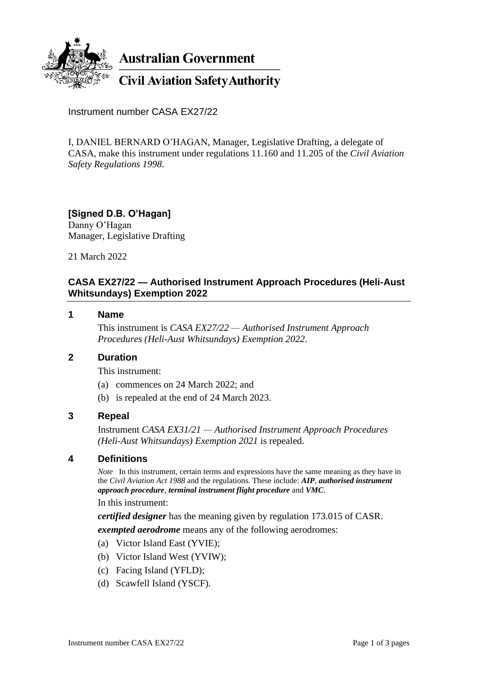

**Australian Government** 

**Civil Aviation Safety Authority** 

Instrument number CASA EX27/22

I, DANIEL BERNARD O'HAGAN, Manager, Legislative Drafting, a delegate of CASA, make this instrument under regulations 11.160 and 11.205 of the *Civil Aviation Safety Regulations 1998*.

# **[Signed D.B. O'Hagan]**

Danny O'Hagan Manager, Legislative Drafting

21 March 2022

## **CASA EX27/22 — Authorised Instrument Approach Procedures (Heli-Aust Whitsundays) Exemption 2022**

#### **1 Name**

This instrument is *CASA EX27/22 — Authorised Instrument Approach Procedures (Heli-Aust Whitsundays) Exemption 2022*.

## **2 Duration**

This instrument:

- (a) commences on 24 March 2022; and
- (b) is repealed at the end of 24 March 2023.

## **3 Repeal**

Instrument *CASA EX31/21 — Authorised Instrument Approach Procedures (Heli-Aust Whitsundays) Exemption 2021* is repealed.

## **4 Definitions**

*Note* In this instrument, certain terms and expressions have the same meaning as they have in the *Civil Aviation Act 1988* and the regulations. These include: *AIP*, *authorised instrument approach procedure*, *terminal instrument flight procedure* and *VMC*.

In this instrument:

*certified designer* has the meaning given by regulation 173.015 of CASR. *exempted aerodrome* means any of the following aerodromes:

- (a) Victor Island East (YVIE);
- (b) Victor Island West (YVIW);
- (c) Facing Island (YFLD);
- (d) Scawfell Island (YSCF).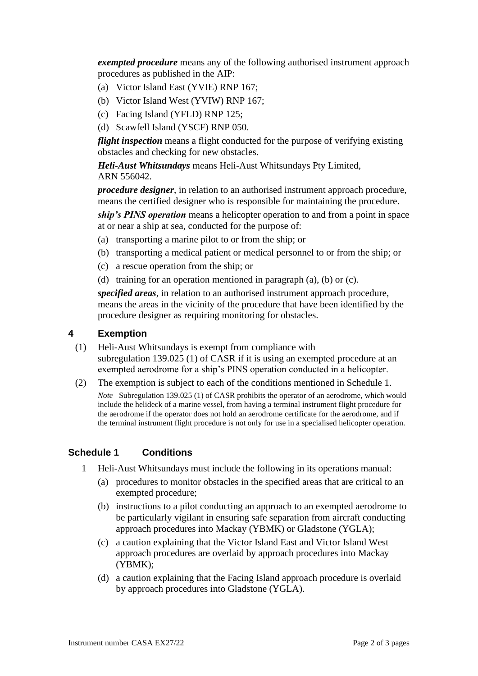*exempted procedure* means any of the following authorised instrument approach procedures as published in the AIP:

- (a) Victor Island East (YVIE) RNP 167;
- (b) Victor Island West (YVIW) RNP 167;
- (c) Facing Island (YFLD) RNP 125;
- (d) Scawfell Island (YSCF) RNP 050.

*flight inspection* means a flight conducted for the purpose of verifying existing obstacles and checking for new obstacles.

*Heli-Aust Whitsundays* means Heli-Aust Whitsundays Pty Limited, ARN 556042.

*procedure designer*, in relation to an authorised instrument approach procedure, means the certified designer who is responsible for maintaining the procedure.

*ship's PINS operation* means a helicopter operation to and from a point in space at or near a ship at sea, conducted for the purpose of:

- (a) transporting a marine pilot to or from the ship; or
- (b) transporting a medical patient or medical personnel to or from the ship; or
- (c) a rescue operation from the ship; or
- (d) training for an operation mentioned in paragraph (a), (b) or (c).

*specified areas*, in relation to an authorised instrument approach procedure, means the areas in the vicinity of the procedure that have been identified by the procedure designer as requiring monitoring for obstacles.

#### **4 Exemption**

- (1) Heli-Aust Whitsundays is exempt from compliance with subregulation 139.025 (1) of CASR if it is using an exempted procedure at an exempted aerodrome for a ship's PINS operation conducted in a helicopter.
- (2) The exemption is subject to each of the conditions mentioned in Schedule 1.

*Note* Subregulation 139.025 (1) of CASR prohibits the operator of an aerodrome, which would include the helideck of a marine vessel, from having a terminal instrument flight procedure for the aerodrome if the operator does not hold an aerodrome certificate for the aerodrome, and if the terminal instrument flight procedure is not only for use in a specialised helicopter operation.

## **Schedule 1 Conditions**

- 1 Heli-Aust Whitsundays must include the following in its operations manual:
	- (a) procedures to monitor obstacles in the specified areas that are critical to an exempted procedure;
	- (b) instructions to a pilot conducting an approach to an exempted aerodrome to be particularly vigilant in ensuring safe separation from aircraft conducting approach procedures into Mackay (YBMK) or Gladstone (YGLA);
	- (c) a caution explaining that the Victor Island East and Victor Island West approach procedures are overlaid by approach procedures into Mackay (YBMK);
	- (d) a caution explaining that the Facing Island approach procedure is overlaid by approach procedures into Gladstone (YGLA).